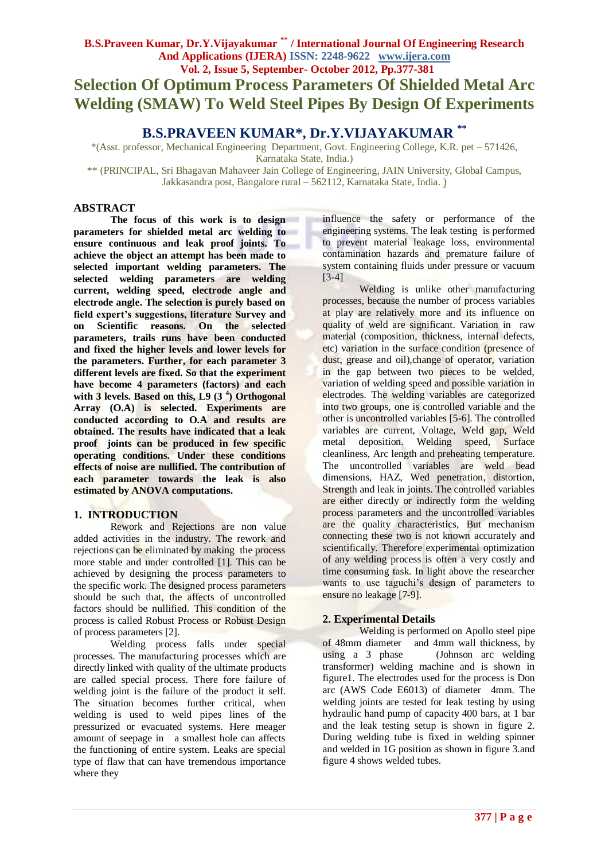# **Selection Of Optimum Process Parameters Of Shielded Metal Arc Welding (SMAW) To Weld Steel Pipes By Design Of Experiments**

# **B.S.PRAVEEN KUMAR\*, Dr.Y.VIJAYAKUMAR \*\***

\*(Asst. professor, Mechanical Engineering Department, Govt. Engineering College, K.R. pet – 571426, Karnataka State, India.)

\*\* (PRINCIPAL, Sri Bhagavan Mahaveer Jain College of Engineering, JAIN University, Global Campus, Jakkasandra post, Bangalore rural – 562112, Karnataka State, India. )

#### **ABSTRACT**

**The focus of this work is to design parameters for shielded metal arc welding to ensure continuous and leak proof joints. To achieve the object an attempt has been made to selected important welding parameters. The selected welding parameters are welding current, welding speed, electrode angle and electrode angle. The selection is purely based on field expert's suggestions, literature Survey and on Scientific reasons. On the selected parameters, trails runs have been conducted and fixed the higher levels and lower levels for the parameters. Further, for each parameter 3 different levels are fixed. So that the experiment have become 4 parameters (factors) and each**  with 3 levels. Based on this, L9 (3<sup>4</sup>) Orthogonal **Array (O.A) is selected. Experiments are conducted according to O.A and results are obtained. The results have indicated that a leak proof joints can be produced in few specific operating conditions. Under these conditions effects of noise are nullified. The contribution of each parameter towards the leak is also estimated by ANOVA computations.**

# **1. INTRODUCTION**

Rework and Rejections are non value added activities in the industry. The rework and rejections can be eliminated by making the process more stable and under controlled [1]. This can be achieved by designing the process parameters to the specific work. The designed process parameters should be such that, the affects of uncontrolled factors should be nullified. This condition of the process is called Robust Process or Robust Design of process parameters [2].

Welding process falls under special processes. The manufacturing processes which are directly linked with quality of the ultimate products are called special process. There fore failure of welding joint is the failure of the product it self. The situation becomes further critical, when welding is used to weld pipes lines of the pressurized or evacuated systems. Here meager amount of seepage in a smallest hole can affects the functioning of entire system. Leaks are special type of flaw that can have tremendous importance where they

influence the safety or performance of the engineering systems. The leak testing is performed to prevent material leakage loss, environmental contamination hazards and premature failure of system containing fluids under pressure or vacuum [3-4]

Welding is unlike other manufacturing processes, because the number of process variables at play are relatively more and its influence on quality of weld are significant. Variation in raw material (composition, thickness, internal defects, etc) variation in the surface condition (presence of dust, grease and oil),change of operator, variation in the gap between two pieces to be welded, variation of welding speed and possible variation in electrodes. The welding variables are categorized into two groups, one is controlled variable and the other is uncontrolled variables [5-6]. The controlled variables are current, Voltage, Weld gap, Weld metal deposition. Welding speed, Surface cleanliness, Arc length and preheating temperature. The uncontrolled variables are weld bead dimensions, HAZ, Wed penetration, distortion, Strength and leak in joints. The controlled variables are either directly or indirectly form the welding process parameters and the uncontrolled variables are the quality characteristics, But mechanism connecting these two is not known accurately and scientifically. Therefore experimental optimization of any welding process is often a very costly and time consuming task. In light above the researcher wants to use taguchi's design of parameters to ensure no leakage [7-9].

# **2. Experimental Details**

Welding is performed on Apollo steel pipe of 48mm diameter and 4mm wall thickness, by using a 3 phase (Johnson arc welding transformer) welding machine and is shown in figure1. The electrodes used for the process is Don arc (AWS Code E6013) of diameter 4mm. The welding joints are tested for leak testing by using hydraulic hand pump of capacity 400 bars, at 1 bar and the leak testing setup is shown in figure 2. During welding tube is fixed in welding spinner and welded in 1G position as shown in figure 3.and figure 4 shows welded tubes.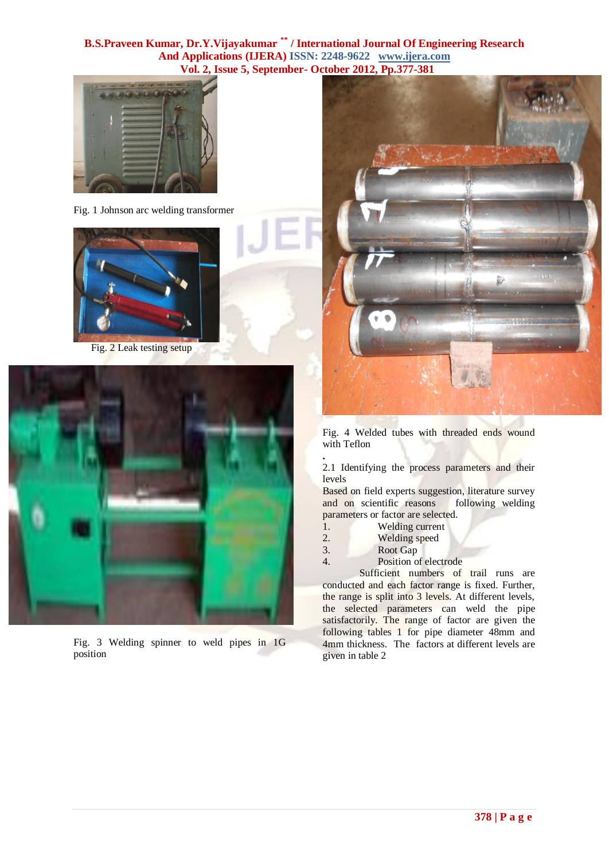

Fig. 1 Johnson arc welding transformer



Fig. 2 Leak testing setup



Fig. 3 Welding spinner to weld pipes in 1G position



Fig. 4 Welded tubes with threaded ends wound with Teflon

**.** 2.1 Identifying the process parameters and their levels

Based on field experts suggestion, literature survey and on scientific reasons following welding parameters or factor are selected.

- 1. Welding current
- 2. Welding speed
- 3. Root Gap
- 4. Position of electrode

Sufficient numbers of trail runs are conducted and each factor range is fixed. Further, the range is split into 3 levels. At different levels, the selected parameters can weld the pipe satisfactorily. The range of factor are given the following tables 1 for pipe diameter 48mm and 4mm thickness. The factors at different levels are given in table 2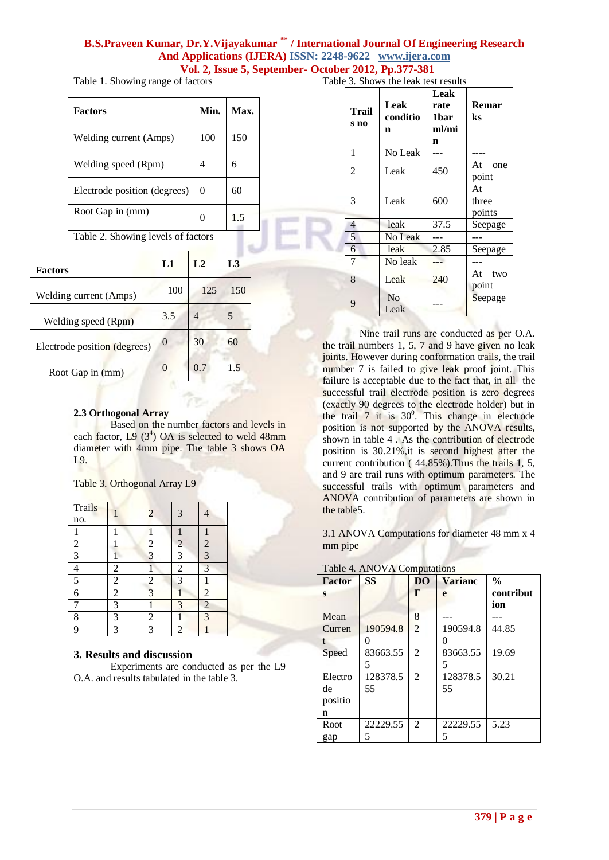Table 1. Showing range of factors

| <b>Factors</b>                     | Min. | Max. |  |  |
|------------------------------------|------|------|--|--|
| Welding current (Amps)             | 100  | 150  |  |  |
| Welding speed (Rpm)                | 4    | 6    |  |  |
| Electrode position (degrees)       | 0    | 60   |  |  |
| Root Gap in (mm)                   | 0    | 1.5  |  |  |
| Table 2. Showing levels of factors |      |      |  |  |
|                                    |      |      |  |  |

| <b>Factors</b>               | L1       | L <sub>2</sub> | L <sub>3</sub> |
|------------------------------|----------|----------------|----------------|
| Welding current (Amps)       | 100      | 125            | 150            |
| Welding speed (Rpm)          | 3.5      |                |                |
| Electrode position (degrees) | $\theta$ | 30             | 60             |
| Root Gap in (mm)             |          | 0.7            | 1.5            |

#### **2.3 Orthogonal Array**

Based on the number factors and levels in each factor,  $L9$  (3<sup>4</sup>) OA is selected to weld 48mm diameter with 4mm pipe. The table 3 shows OA L9.

Table 3. Orthogonal Array L9

| <b>Trails</b>            |                         | $\overline{c}$ | 3                | 4              |
|--------------------------|-------------------------|----------------|------------------|----------------|
| no.                      |                         |                |                  |                |
| 1                        |                         |                |                  |                |
| $\overline{2}$           |                         | $\overline{c}$ | 2                | $\overline{c}$ |
| $\overline{3}$           |                         | 3              | 3                | 3              |
| $\overline{\mathcal{L}}$ | $\overline{c}$          | 1              | $\boldsymbol{2}$ | 3              |
| 5                        | $\overline{\mathbf{c}}$ | $\overline{c}$ | 3                |                |
| 6                        | $\overline{c}$          | 3              |                  | $\overline{c}$ |
|                          | 3                       |                | 3                | $\overline{c}$ |
| 8                        | 3                       | $\overline{2}$ |                  | 3              |
| 9                        | 3                       | 3              | 2                |                |

# **3. Results and discussion**

Experiments are conducted as per the L9 O.A. and results tabulated in the table 3.

| Table 3. Shows the leak test results |
|--------------------------------------|
|--------------------------------------|

| <b>Trail</b><br>s no | Leak<br>conditio<br>n  | Leak<br>rate<br>1bar<br>ml/mi<br>n | <b>Remar</b><br>ks    |
|----------------------|------------------------|------------------------------------|-----------------------|
| 1                    | No Leak                |                                    |                       |
| $\overline{2}$       | Leak                   | 450                                | At one<br>point       |
| 3                    | Leak                   | 600                                | At<br>three<br>points |
| 4                    | leak                   | 37.5                               | Seepage               |
| 5                    | No Leak                |                                    |                       |
| 6                    | leak                   | 2.85                               | Seepage               |
| 7                    | No leak                |                                    |                       |
| 8                    | Leak                   | 240                                | At two<br>point       |
| 9                    | N <sub>0</sub><br>Leak |                                    | Seepage               |

Nine trail runs are conducted as per O.A. the trail numbers  $1, 5, 7$  and 9 have given no leak joints. However during conformation trails, the trail number 7 is failed to give leak proof joint. This failure is acceptable due to the fact that, in all the successful trail electrode position is zero degrees (exactly 90 degrees to the electrode holder) but in the trail  $7$  it is  $30^0$ . This change in electrode position is not supported by the ANOVA results, shown in table 4 . As the contribution of electrode position is 30.21%,it is second highest after the current contribution (44.85%). Thus the trails 1, 5, and 9 are trail runs with optimum parameters. The successful trails with optimum parameters and ANOVA contribution of parameters are shown in the table5.

3.1 ANOVA Computations for diameter 48 mm x 4 mm pipe

|  |  | Table 4. ANOVA Computations |
|--|--|-----------------------------|
|--|--|-----------------------------|

| <b>Factor</b> | SS       | D <sub>O</sub> | <b>Varianc</b> | $\frac{0}{0}$ |
|---------------|----------|----------------|----------------|---------------|
| S             |          | F              | e              | contribut     |
|               |          |                |                | ion           |
| Mean          |          | 8              |                |               |
| Curren        | 190594.8 | $\overline{2}$ | 190594.8       | 44.85         |
|               |          |                |                |               |
| Speed         | 83663.55 | 2              | 83663.55       | 19.69         |
|               | 5        |                | 5              |               |
| Electro       | 128378.5 | 2              | 128378.5       | 30.21         |
| de            | 55       |                | 55             |               |
| positio       |          |                |                |               |
| n             |          |                |                |               |
| Root          | 22229.55 | 2              | 22229.55       | 5.23          |
| gap           |          |                |                |               |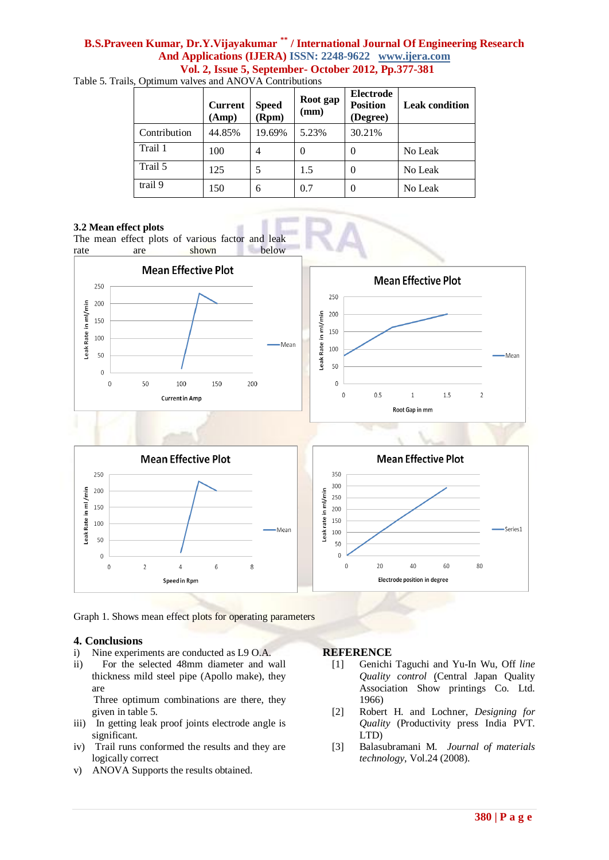|              | <b>Current</b><br>(Amp) | <b>Speed</b><br>(Rpm) | Root gap<br>(mm) | <b>Electrode</b><br><b>Position</b><br>(Degree) | <b>Leak condition</b> |
|--------------|-------------------------|-----------------------|------------------|-------------------------------------------------|-----------------------|
| Contribution | 44.85%                  | 19.69%                | 5.23%            | 30.21%                                          |                       |
| Trail 1      | 100                     | 4                     | $\theta$         | 0                                               | No Leak               |
| Trail 5      | 125                     | 5                     | 1.5              | 0                                               | No Leak               |
| trail 9      | 150                     | 6                     | 0.7              | 0                                               | No Leak               |

Table 5. Trails, Optimum valves and ANOVA Contributions

#### **3.2 Mean effect plots**

The mean effect plots of various factor and leak rate are shown below





Graph 1. Shows mean effect plots for operating parameters

#### **4. Conclusions**

- i) Nine experiments are conducted as L9 O.A.
- ii) For the selected 48mm diameter and wall thickness mild steel pipe (Apollo make), they are

 Three optimum combinations are there, they given in table 5.

- iii) In getting leak proof joints electrode angle is significant.
- iv) Trail runs conformed the results and they are logically correct
- v) ANOVA Supports the results obtained.

# **REFERENCE**

- [1] Genichi Taguchi and Yu-In Wu, Off *line Quality control* (Central Japan Quality Association Show printings Co. Ltd. 1966)
- [2] Robert H. and Lochner, *Designing for Quality* (Productivity press India PVT. LTD)
- [3] Balasubramani M. *Journal of materials technology*, Vol.24 (2008).